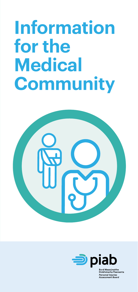# **Information for the Medical Community**





ithe obhálacha Pearsanta ersonal Iniuries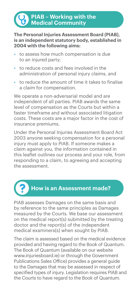# **PIAB – Working with the Medical Community**

#### **The Personal Injuries Assessment Board (PIAB), is an independent statutory body, established in 2004 with the following aims:**

- to assess how much compensation is due to an injured party;
- to reduce costs and fees involved in the administration of personal injury claims, and
- to reduce the amount of time it takes to finalise a claim for compensation.

We operate a non-adversarial model and are independent of all parties. PIAB awards the same level of compensation as the Courts but within a faster timeframe and without associated litigation costs. These costs are a major factor in the cost of insurance premiums.

Under the Personal Injuries Assessment Board Act 2003 anyone seeking compensation for a personal injury must apply to PIAB. If someone makes a claim against you, the information contained in this leaflet outlines our process and your role, from responding to a claim, to agreeing and accepting the assessment.



PIAB assesses Damages on the same basis and by reference to the same principles as Damages measured by the Courts. We base our assessment on the medical report(s) submitted by the treating doctor and the report(s) of the independent medical examiners(s) when sought by PIAB.

The claim is assessed based on the medical evidence provided and having regard to the Book of Quantum. The Book of Quantum (available on our website www.injuriesboard.ie) or through the Government Publications Sales Office) provides a general guide to the Damages that may be assessed in respect of specified types of injury. Legislation requires PIAB and the Courts to have regard to the Book of Quantum.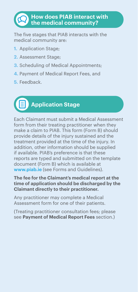# **How does PIAB interact with the medical community?**

The five stages that PIAB interacts with the medical community are:

- **1.** Application Stage;
- **2.** Assessment Stage;
- **3.** Scheduling of Medical Appointments;
- **4.** Payment of Medical Report Fees, and
- **5.** Feedback.



Each Claimant must submit a Medical Assessment form from their treating practitioner when they make a claim to PIAB. This form (Form B) should provide details of the injury sustained and the treatment provided at the time of the injury. In addition, other information should be supplied if available. PIAB's preference is that these reports are typed and submitted on the template document (Form B) which is available at **www.piab.ie** (see Forms and Guidelines).

#### **The fee for the Claimant's medical report at the time of application should be discharged by the Claimant directly to their practitioner.**

Any practitioner may complete a Medical Assessment form for one of their patients.

(Treating practitioner consultation fees; please see **Payment of Medical Report Fees** section.)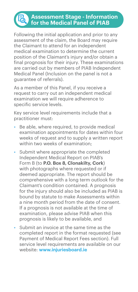#### **Assessment Stage - Information for the Medical Panel of PIAB**

Following the initial application and prior to any assessment of the claim, the Board may require the Claimant to attend for an independent medical examination to determine the current position of the Claimant's injury and/or obtain a final prognosis for their injury. These examinations are carried out by members of PIAB Independent Medical Panel (Inclusion on the panel is not a guarantee of referrals).

As a member of this Panel, if you receive a request to carry out an independent medical examination we will require adherence to specific service levels.

Key service level requirements include that a practitioner must:

- Be able, where required, to provide medical examination appointments for dates within four weeks of request and to supply a written report within two weeks of examination;
- Submit where appropriate the completed Independent Medical Report on PIAB's Form B (to **P.O. Box 8, Clonakilty, Cork**) with photographs where requested or if deemed appropriate. The report should be comprehensive with a long term outlook for the Claimant's condition contained. A prognosis for the injury should also be included as PIAB is bound by statute to make Assessments within a nine month period from the date of consent. If a prognosis is not available at the time of examination, please advise PIAB when this prognosis is likely to be available, and
- Submit an invoice at the same time as the completed report in the format requested (see Payment of Medical Report Fees section). Full service level requirements are available on our website: **www.injuriesboard.ie**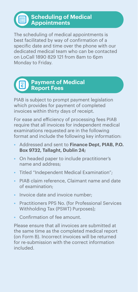圃

The scheduling of medical appointments is best facilitated by way of confirmation of a specific date and time over the phone with our dedicated medical team who can be contacted on LoCall 1890 829 121 from 8am to 6pm Monday to Friday.

# **Payment of Medical Report Fees**

PIAB is subject to prompt payment legislation which provides for payment of completed invoices within thirty days of receipt.

For ease and efficiency of processing fees PIAB require that all invoices for independent medical examinations requested are in the following format and include the following key information:

- Addressed and sent to **Finance Dept, PIAB, P.O. Box 9732, Tallaght, Dublin 24;**
- On headed paper to include practitioner's name and address;
- Titled "Independent Medical Examination";
- PIAB claim reference, Claimant name and date of examination;
- Invoice date and invoice number;
- Practitioners PPS No. (for Professional Services Withholding Tax (PSWT) Purposes);
- Confirmation of fee amount.

Please ensure that all invoices are submitted at the same time as the completed medical report (on Form B). Incorrect invoices will be returned for re-submission with the correct information included.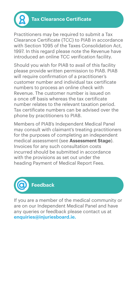

Practitioners may be required to submit a Tax Clearance Certificate (TCC) to PIAB in accordance with Section 1095 of the Taxes Consolidation Act, 1997. In this regard please note the Revenue have introduced an online TCC verification facility.

Should you wish for PIAB to avail of this facility please provide written permission to PIAB. PIAB will require confirmation of a practitioner's customer number and individual tax certificate numbers to process an online check with Revenue. The customer number is issued on a once off basis whereas the tax certificate number relates to the relevant taxation period. Tax certificate numbers can be advised over the phone by practitioners to PIAB.

Members of PIAB's Independent Medical Panel may consult with claimant's treating practitioners for the purposes of completing an independent medical assessment (see **Assessment Stage**). Invoices for any such consultation costs incurred should be submitted in accordance with the provisions as set out under the heading Payment of Medical Report Fees.



If you are a member of the medical community or are on our Independent Medical Panel and have any queries or feedback please contact us at **enquiries@injuriesboard.ie.**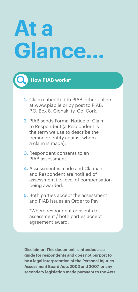# **At a Glance...**

### **How PIAB works\***

- **1.** Claim submitted to PIAB either online at www.piab.ie or by post to PIAB, P.O. Box 8, Clonakilty, Co. Cork.
- **2.** PIAB sends Formal Notice of Claim to Respondent (a Respondent is the term we use to describe the person or entity against whom a claim is made).
- **3.** Respondent consents to an PIAB assessment.
- **4.** Assessment is made and Claimant and Respondent are notified of assessment i.e. level of compensation being awarded.
- **5.** Both parties accept the assessment and PIAB issues an Order to Pay.

\*Where respondent consents to assessment / both parties accept agreement award.

**Disclaimer: This document is intended as a guide for respondents and does not purport to be a legal interpretation of the Personal Injuries Assessment Board Acts 2003 and 2007, or any secondary legislation made pursuant to the Acts.**